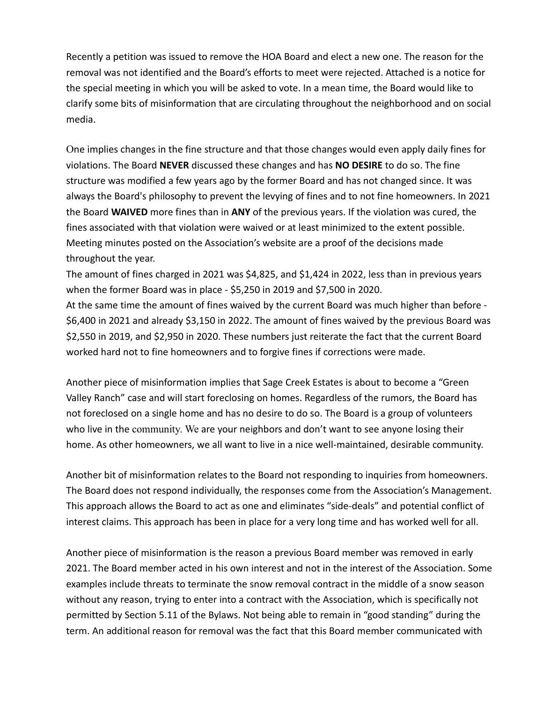Recently a petition was issued to remove the HOA Board and elect a new one. The reason for the removal was not identified and the Board's efforts to meet were rejected. Attached is a notice for the special meeting in which you will be asked to vote. In a mean time, the Board would like to clarify some bits of misinformation that are circulating throughout the neighborhood and on social media.

One implies changes in the fine structure and that those changes would even apply daily fines for violations. The Board **NEVER** discussed these changes and has **NO DESIRE** to do so. The fine structure was modified a few years ago by the former Board and has not changed since. It was always the Board's philosophy to prevent the levying of fines and to not fine homeowners. In 2021 the Board **WAIVED** more fines than in **ANY** of the previous years. If the violation was cured, the fines associated with that violation were waived or at least minimized to the extent possible. Meeting minutes posted on the Association's website are a proof of the decisions made throughout the year.

The amount of fines charged in 2021 was \$4,825, and \$1,424 in 2022, less than in previous years when the former Board was in place - \$5,250 in 2019 and \$7,500 in 2020.

At the same time the amount of fines waived by the current Board was much higher than before - \$6,400 in 2021 and already \$3,150 in 2022. The amount of fines waived by the previous Board was \$2,550 in 2019, and \$2,950 in 2020. These numbers just reiterate the fact that the current Board worked hard not to fine homeowners and to forgive fines if corrections were made.

Another piece of misinformation implies that Sage Creek Estates is about to become a "Green Valley Ranch" case and will start foreclosing on homes. Regardless of the rumors, the Board has not foreclosed on a single home and has no desire to do so. The Board is a group of volunteers who live in the community. We are your neighbors and don't want to see anyone losing their home. As other homeowners, we all want to live in a nice well-maintained, desirable community.

Another bit of misinformation relates to the Board not responding to inquiries from homeowners. The Board does not respond individually, the responses come from the Association's Management. This approach allows the Board to act as one and eliminates "side-deals" and potential conflict of interest claims. This approach has been in place for a very long time and has worked well for all.

Another piece of misinformation is the reason a previous Board member was removed in early 2021. The Board member acted in his own interest and not in the interest of the Association. Some examples include threats to terminate the snow removal contract in the middle of a snow season without any reason, trying to enter into a contract with the Association, which is specifically not permitted by Section 5.11 of the Bylaws. Not being able to remain in "good standing" during the term. An additional reason for removal was the fact that this Board member communicated with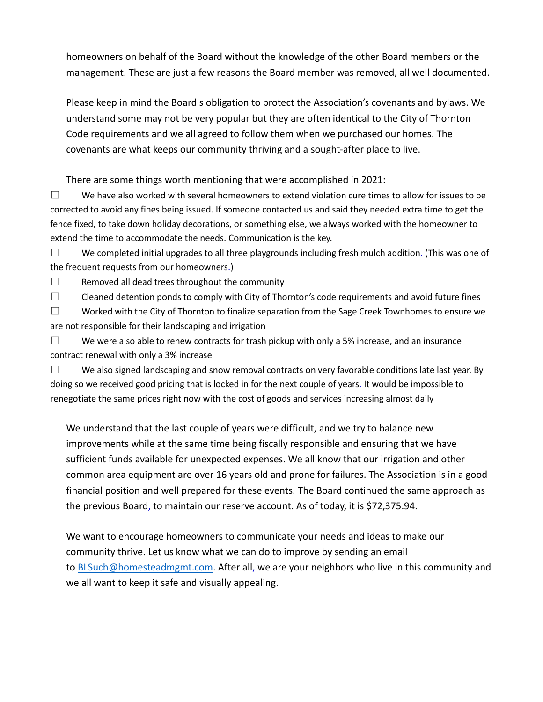homeowners on behalf of the Board without the knowledge of the other Board members or the management. These are just a few reasons the Board member was removed, all well documented.

Please keep in mind the Board's obligation to protect the Association's covenants and bylaws. We understand some may not be very popular but they are often identical to the City of Thornton Code requirements and we all agreed to follow them when we purchased our homes. The covenants are what keeps our community thriving and a sought-after place to live.

There are some things worth mentioning that were accomplished in 2021:

 $\Box$  We have also worked with several homeowners to extend violation cure times to allow for issues to be corrected to avoid any fines being issued. If someone contacted us and said they needed extra time to get the fence fixed, to take down holiday decorations, or something else, we always worked with the homeowner to extend the time to accommodate the needs. Communication is the key.

 $\square$  We completed initial upgrades to all three playgrounds including fresh mulch addition. (This was one of the frequent requests from our homeowners.)

 $\Box$  Removed all dead trees throughout the community

 $\Box$  Cleaned detention ponds to comply with City of Thornton's code requirements and avoid future fines

 $\Box$  Worked with the City of Thornton to finalize separation from the Sage Creek Townhomes to ensure we are not responsible for their landscaping and irrigation

 $\square$  We were also able to renew contracts for trash pickup with only a 5% increase, and an insurance contract renewal with only a 3% increase

 $\square$  We also signed landscaping and snow removal contracts on very favorable conditions late last year. By doing so we received good pricing that is locked in for the next couple of years. It would be impossible to renegotiate the same prices right now with the cost of goods and services increasing almost daily

We understand that the last couple of years were difficult, and we try to balance new improvements while at the same time being fiscally responsible and ensuring that we have sufficient funds available for unexpected expenses. We all know that our irrigation and other common area equipment are over 16 years old and prone for failures. The Association is in a good financial position and well prepared for these events. The Board continued the same approach as the previous Board, to maintain our reserve account. As of today, it is \$72,375.94.

We want to encourage homeowners to communicate your needs and ideas to make our community thrive. Let us know what we can do to improve by sending an email to [BLSuch@homesteadmgmt.com.](mailto:BLSuch@homesteadmgmt.com) After all, we are your neighbors who live in this community and we all want to keep it safe and visually appealing.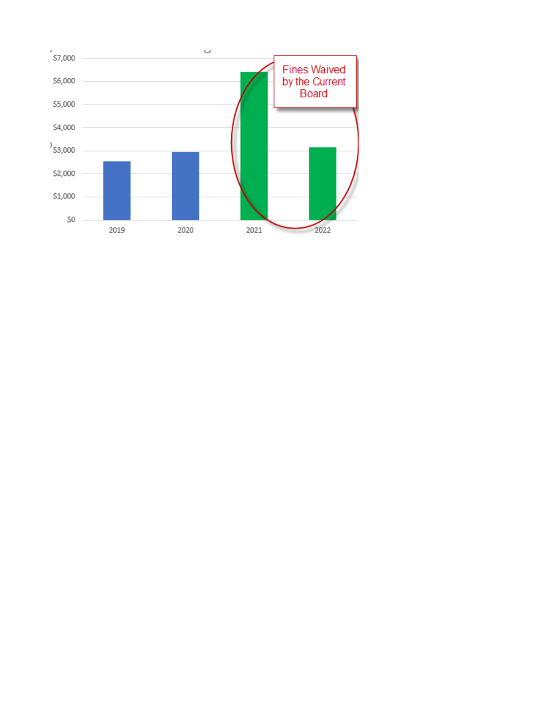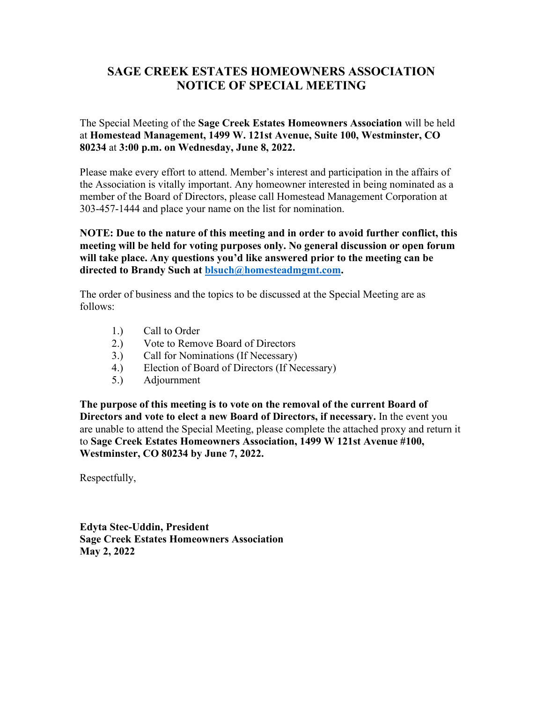## **SAGE CREEK ESTATES HOMEOWNERS ASSOCIATION NOTICE OF SPECIAL MEETING**

The Special Meeting of the **Sage Creek Estates Homeowners Association** will be held at **Homestead Management, 1499 W. 121st Avenue, Suite 100, Westminster, CO 80234** at **3:00 p.m. on Wednesday, June 8, 2022.** 

Please make every effort to attend. Member's interest and participation in the affairs of the Association is vitally important. Any homeowner interested in being nominated as a member of the Board of Directors, please call Homestead Management Corporation at 303-457-1444 and place your name on the list for nomination.

**NOTE: Due to the nature of this meeting and in order to avoid further conflict, this meeting will be held for voting purposes only. No general discussion or open forum will take place. Any questions you'd like answered prior to the meeting can be directed to Brandy Such at [blsuch@homesteadmgmt.com.](mailto:blsuch@homesteadmgmt.com)** 

The order of business and the topics to be discussed at the Special Meeting are as follows:

- 1.) Call to Order
- 2.) Vote to Remove Board of Directors
- 3.) Call for Nominations (If Necessary)
- 4.) Election of Board of Directors (If Necessary)
- 5.) Adjournment

**The purpose of this meeting is to vote on the removal of the current Board of Directors and vote to elect a new Board of Directors, if necessary.** In the event you are unable to attend the Special Meeting, please complete the attached proxy and return it to **Sage Creek Estates Homeowners Association, 1499 W 121st Avenue #100, Westminster, CO 80234 by June 7, 2022.** 

Respectfully,

**Edyta Stec-Uddin, President Sage Creek Estates Homeowners Association May 2, 2022**